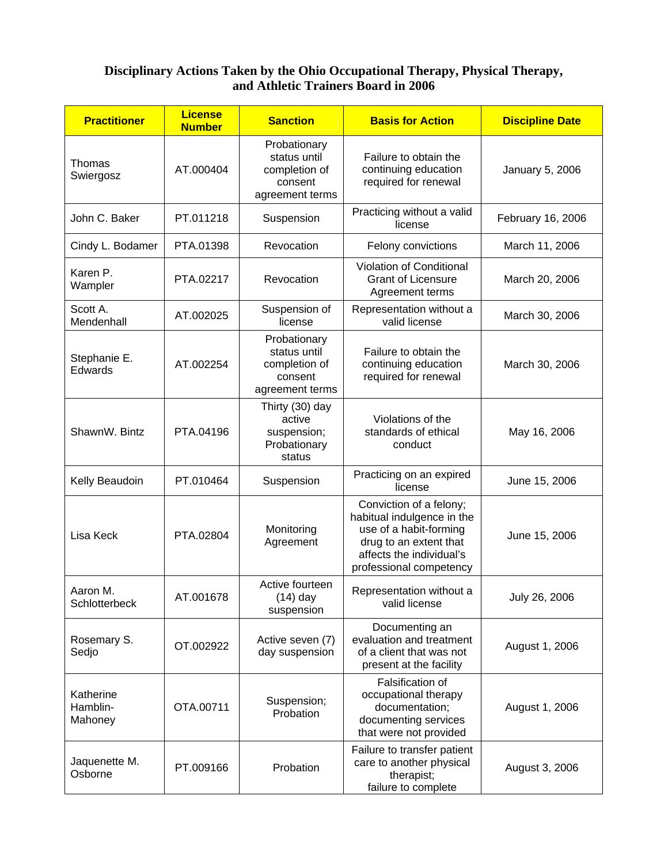## **Disciplinary Actions Taken by the Ohio Occupational Therapy, Physical Therapy, and Athletic Trainers Board in 2006**

| <b>Practitioner</b>              | <b>License</b><br><b>Number</b> | <b>Sanction</b>                                                             | <b>Basis for Action</b>                                                                                                                                          | <b>Discipline Date</b> |
|----------------------------------|---------------------------------|-----------------------------------------------------------------------------|------------------------------------------------------------------------------------------------------------------------------------------------------------------|------------------------|
| Thomas<br>Swiergosz              | AT.000404                       | Probationary<br>status until<br>completion of<br>consent<br>agreement terms | Failure to obtain the<br>continuing education<br>required for renewal                                                                                            | January 5, 2006        |
| John C. Baker                    | PT.011218                       | Suspension                                                                  | Practicing without a valid<br>license                                                                                                                            | February 16, 2006      |
| Cindy L. Bodamer                 | PTA.01398                       | Revocation                                                                  | Felony convictions                                                                                                                                               | March 11, 2006         |
| Karen P.<br>Wampler              | PTA.02217                       | Revocation                                                                  | Violation of Conditional<br><b>Grant of Licensure</b><br>Agreement terms                                                                                         | March 20, 2006         |
| Scott A.<br>Mendenhall           | AT.002025                       | Suspension of<br>license                                                    | Representation without a<br>valid license                                                                                                                        | March 30, 2006         |
| Stephanie E.<br>Edwards          | AT.002254                       | Probationary<br>status until<br>completion of<br>consent<br>agreement terms | Failure to obtain the<br>continuing education<br>required for renewal                                                                                            | March 30, 2006         |
| ShawnW. Bintz                    | PTA.04196                       | Thirty (30) day<br>active<br>suspension;<br>Probationary<br>status          | Violations of the<br>standards of ethical<br>conduct                                                                                                             | May 16, 2006           |
| Kelly Beaudoin                   | PT.010464                       | Suspension                                                                  | Practicing on an expired<br>license                                                                                                                              | June 15, 2006          |
| Lisa Keck                        | PTA.02804                       | Monitoring<br>Agreement                                                     | Conviction of a felony;<br>habitual indulgence in the<br>use of a habit-forming<br>drug to an extent that<br>affects the individual's<br>professional competency | June 15, 2006          |
| Aaron M.<br>Schlotterbeck        | AT.001678                       | Active fourteen<br>$(14)$ day<br>suspension                                 | Representation without a<br>valid license                                                                                                                        | July 26, 2006          |
| Rosemary S.<br>Sedjo             | OT.002922                       | Active seven (7)<br>day suspension                                          | Documenting an<br>evaluation and treatment<br>of a client that was not<br>present at the facility                                                                | August 1, 2006         |
| Katherine<br>Hamblin-<br>Mahoney | OTA.00711                       | Suspension;<br>Probation                                                    | Falsification of<br>occupational therapy<br>documentation;<br>documenting services<br>that were not provided                                                     | August 1, 2006         |
| Jaquenette M.<br>Osborne         | PT.009166                       | Probation                                                                   | Failure to transfer patient<br>care to another physical<br>therapist;<br>failure to complete                                                                     | August 3, 2006         |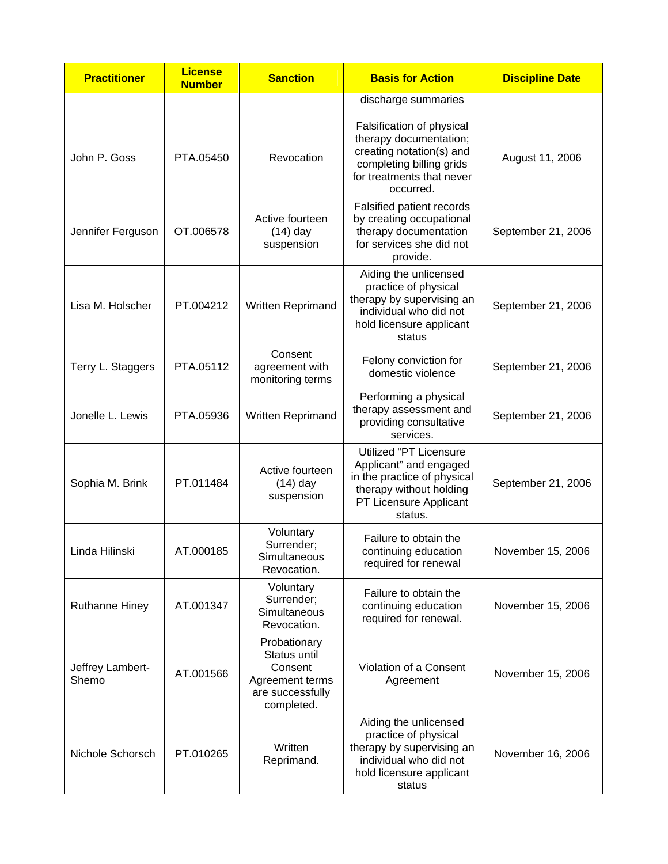| <b>Practitioner</b>       | <b>License</b><br><b>Number</b> | <b>Sanction</b>                                                                              | <b>Basis for Action</b>                                                                                                                               | <b>Discipline Date</b> |
|---------------------------|---------------------------------|----------------------------------------------------------------------------------------------|-------------------------------------------------------------------------------------------------------------------------------------------------------|------------------------|
|                           |                                 |                                                                                              | discharge summaries                                                                                                                                   |                        |
| John P. Goss              | PTA.05450                       | Revocation                                                                                   | Falsification of physical<br>therapy documentation;<br>creating notation(s) and<br>completing billing grids<br>for treatments that never<br>occurred. | August 11, 2006        |
| Jennifer Ferguson         | OT.006578                       | Active fourteen<br>$(14)$ day<br>suspension                                                  | Falsified patient records<br>by creating occupational<br>therapy documentation<br>for services she did not<br>provide.                                | September 21, 2006     |
| Lisa M. Holscher          | PT.004212                       | Written Reprimand                                                                            | Aiding the unlicensed<br>practice of physical<br>therapy by supervising an<br>individual who did not<br>hold licensure applicant<br>status            | September 21, 2006     |
| Terry L. Staggers         | PTA.05112                       | Consent<br>agreement with<br>monitoring terms                                                | Felony conviction for<br>domestic violence                                                                                                            | September 21, 2006     |
| Jonelle L. Lewis          | PTA.05936                       | Written Reprimand                                                                            | Performing a physical<br>therapy assessment and<br>providing consultative<br>services.                                                                | September 21, 2006     |
| Sophia M. Brink           | PT.011484                       | Active fourteen<br>$(14)$ day<br>suspension                                                  | Utilized "PT Licensure<br>Applicant" and engaged<br>in the practice of physical<br>therapy without holding<br>PT Licensure Applicant<br>status.       | September 21, 2006     |
| Linda Hilinski            | AT.000185                       | Voluntary<br>Surrender;<br>Simultaneous<br>Revocation.                                       | Failure to obtain the<br>continuing education<br>required for renewal                                                                                 | November 15, 2006      |
| <b>Ruthanne Hiney</b>     | AT.001347                       | Voluntary<br>Surrender;<br>Simultaneous<br>Revocation.                                       | Failure to obtain the<br>continuing education<br>required for renewal.                                                                                | November 15, 2006      |
| Jeffrey Lambert-<br>Shemo | AT.001566                       | Probationary<br>Status until<br>Consent<br>Agreement terms<br>are successfully<br>completed. | Violation of a Consent<br>Agreement                                                                                                                   | November 15, 2006      |
| Nichole Schorsch          | PT.010265                       | Written<br>Reprimand.                                                                        | Aiding the unlicensed<br>practice of physical<br>therapy by supervising an<br>individual who did not<br>hold licensure applicant<br>status            | November 16, 2006      |